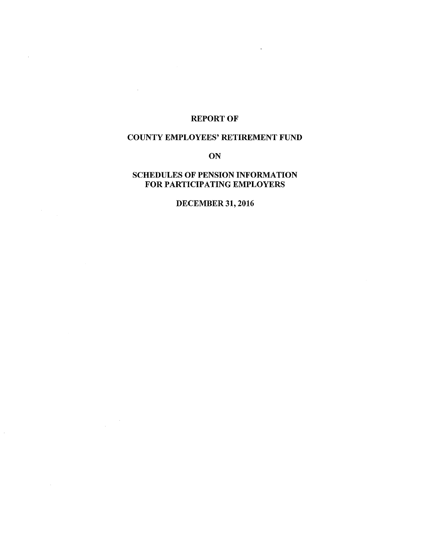# REPORT OF

 $\mathcal{L}$ 

 $\frac{1}{2} \left( \frac{1}{2} \right)^2 \frac{1}{2} \frac{1}{2} \frac{1}{2} \frac{1}{2} \frac{1}{2} \frac{1}{2} \frac{1}{2} \frac{1}{2} \frac{1}{2} \frac{1}{2} \frac{1}{2} \frac{1}{2} \frac{1}{2} \frac{1}{2} \frac{1}{2} \frac{1}{2} \frac{1}{2} \frac{1}{2} \frac{1}{2} \frac{1}{2} \frac{1}{2} \frac{1}{2} \frac{1}{2} \frac{1}{2} \frac{1}{2} \frac{1}{2} \frac{1}{2} \frac{1}{2} \frac{$ 

 $\mathcal{A}^{\pm}$ 

 $\hat{\psi}$ 

# COUNTY EMPLOYEES' RETIREMENT FUND

**ON** 

# SCHEDULES OF PENSION INFORMATION FOR PARTICIPATING EMPLOYERS

DECEMBER 31, 2016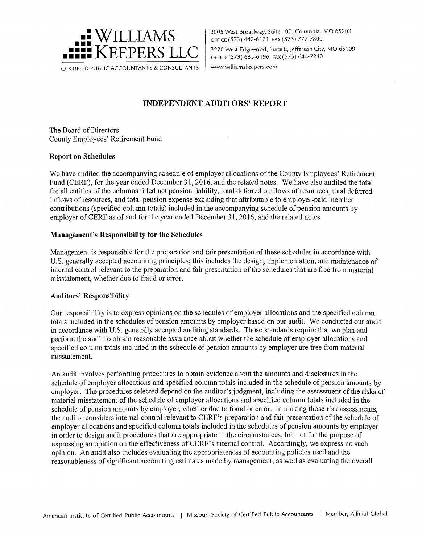

2005 West Broadway, Suite 100, Columbia, MO 65203 OFFICE (573) 442-6171 FAX (573) 777-7800 3220 West Edgewood, Suite E, Jefferson City, MO 65109 OFFICE ( 573) 635-6196 FAX ( 573) 644-7240 www.williamskeepers.com

# **INDEPENDENT AUDITORS' REPORT**

The Board of Directors County Employees' Retirement Fund

## **Report on Schedules**

We have audited the accompanying schedule of employer allocations of the County Employees' Retirement Fund (CERF), for the year ended December 31, 2016, and the related notes. We have also audited the total for all entities of the columns titled net pension liability, total deferred outflows of resources, total deferred inflows of resources, and total pension expense excluding that attributable to employer-paid member contributions (specified column totals) included in the accompanying schedule of pension amounts by employer of CERF as of and for the year ended December 31, 2016, and the related notes.

## **Management's Responsibility for the Schedules**

Management is responsible for the preparation and fair presentation of these schedules in accordance with U.S. generally accepted accounting principles; this includes the design, implementation, and maintenance of internal control relevant to the preparation and fair presentation of the schedules that are free from material misstatement, whether due to fraud or error.

### **Auditors' Responsibility**

Our responsibility is to express opinions on the schedules of employer allocations and the specified column totals included in the schedules of pension amounts by employer based on our audit. We conducted our audit in accordance with U.S. generally accepted auditing standards. Those standards require that we plan and perform the audit to obtain reasonable assurance about whether the schedule of employer allocations and specified column totals included in the schedule of pension amounts by employer are free from material misstatement.

An audit involves performing procedures to obtain evidence about the amounts and disclosures in the schedule of employer allocations and specified column totals included in the schedule of pension amounts by employer. The procedures selected depend on the auditor's judgment, including the assessment of the risks of material misstatement of the schedule of employer allocations and specified column totals included in the schedule of pension amounts by employer, whether due to fraud or error. In making those risk assessments, the auditor considers internal control relevant to CERF's preparation and fair presentation of the schedule of employer allocations and specified column totals included in the schedules of pension amounts by employer in order to design audit procedures that are appropriate in the circumstances, but not for the purpose of expressing an opinion on the effectiveness of CERF's internal control. Accordingly, we express no such opinion. An-audit also includes evaluating the appropriateness of accounting policies used and the reasonableness of significant accounting estimates made by management, as well as evaluating the overall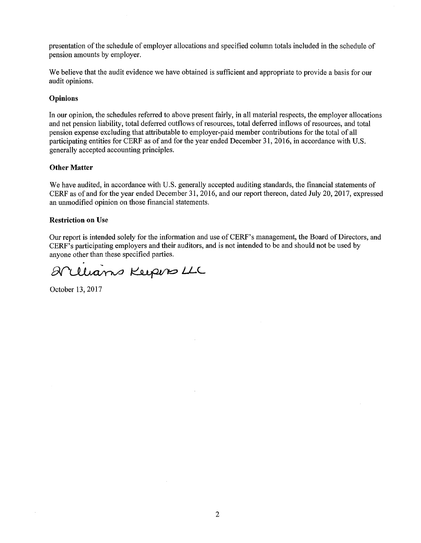presentation of the schedule of employer allocations and specified column totals included in the schedule of pension amounts by employer.

We believe that the audit evidence we have obtained is sufficient and appropriate to provide a basis for our audit opinions.

### **Opinions**

In our opinion, the schedules referred to above present fairly, in all material respects, the employer allocations and net pension liability, total deferred outflows of resources, total deferred inflows of resources, and total pension expense excluding that attributable to employer-paid member contributions for the total of all participating entities for CERF as of and for the year ended December 31, 2016, in accordance with U.S. generally accepted accounting principles.

### **Other Matter**

We have audited, in accordance with U.S. generally accepted auditing standards, the financial statements of CERF as of and for the year ended December 31, 2016, and our report thereon, dated July 20, 2017, expressed an unmodified opinion on those financial statements.

### **Restriction on** Use

Our report is intended solely for the information and use of CERF's management, the Board of Directors, and CERF's participating employers and their auditors, and is not intended to be and should not be used by anyone other than these specified parties.

Arllians Keepers LLC

October 13, 2017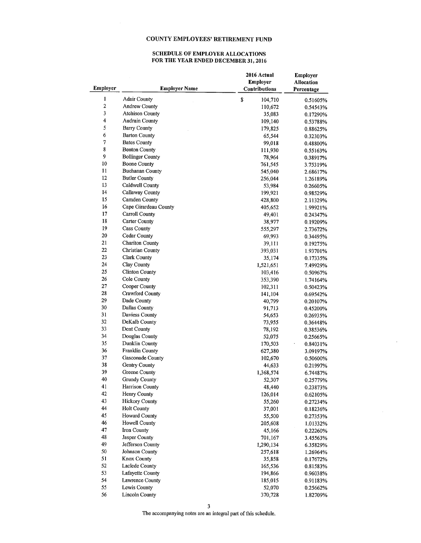### SCHEDULE OF EMPLOYER ALLOCATIONS FOR THE YEAR ENDED DECEMBER 31, 2016

| Employer                | <b>Employer Name</b>    | 2016 Actual<br><b>Employer</b><br>Contributions | <b>Employer</b><br><b>Allocation</b><br>Percentage |
|-------------------------|-------------------------|-------------------------------------------------|----------------------------------------------------|
| 1                       | <b>Adair County</b>     | \$<br>104,710                                   | 0.51605%                                           |
| $\overline{\mathbf{c}}$ | Andrew County           | 110,672                                         | 0.54543%                                           |
| 3                       | <b>Atchison County</b>  | 35,083                                          | 0.17290%                                           |
| 4                       | <b>Audrain County</b>   | 109,140                                         | 0.53788%                                           |
| 5                       | <b>Barry County</b>     | 179,825                                         | 0.88625%                                           |
| 6                       | <b>Barton County</b>    | 65,544                                          | 0.32303%                                           |
| $\sqrt{ }$              | <b>Bates County</b>     | 99,018                                          | 0.48800%                                           |
| 8                       | <b>Benton County</b>    | 111,930                                         | 0.55163%                                           |
| 9                       | <b>Bollinger County</b> | 78,964                                          | 0.38917%                                           |
| 10                      | <b>Boone County</b>     | 761,545                                         | 3.75319%                                           |
| 11                      | <b>Buchanan County</b>  | 545,040                                         | 2.68617%                                           |
| 12                      | <b>Butler County</b>    | 256,044                                         | 1.26189%                                           |
| 13                      | Caldwell County         | 53,984                                          | 0.26605%                                           |
| 14                      | Callaway County         | 199,921                                         | 0.98529%                                           |
| 15                      | Camden County           | 428,800                                         | 2.11329%                                           |
| 16                      | Cape Girardeau County   | 405,652                                         | 1.99921%                                           |
| 17                      | Carroll County          | 49,401                                          | 0.24347%                                           |
| 18                      | Carter County           | 38,977                                          |                                                    |
| 19                      | Cass County             | 555,297                                         | 0.19209%<br>2.73672%                               |
| 20                      | Cedar County            |                                                 |                                                    |
| 21                      | <b>Chariton County</b>  | 69,993                                          | 0.34495%                                           |
| 22                      | <b>Christian County</b> | 39,111                                          | 0.19275%                                           |
| 23                      | Clark County            | 393,031                                         | 1.93701%                                           |
| 24                      | Clay County             | 35,174                                          | 0.17335%                                           |
| 25                      | <b>Clinton County</b>   | 1,521,651                                       | 7.49929%                                           |
| 26                      |                         | 103,416                                         | 0.50967%                                           |
|                         | Cole County             | 353,390                                         | 1.74164%                                           |
| 27                      | Cooper County           | 102,311                                         | 0.50423%                                           |
| 28                      | Crawford County         | 141,104                                         | 0.69542%                                           |
| 29                      | Dade County             | 40,799                                          | 0.20107%                                           |
| 30                      | Dallas County           | 91,713                                          | 0.45200%                                           |
| 31                      | Daviess County          | 54,653                                          | 0.26935%                                           |
| 32<br>33                | DeKalb County           | 73,955                                          | 0.36448%                                           |
|                         | Dent County             | 78,192                                          | 0.38536%                                           |
| 34                      | Douglas County          | 52,075                                          | 0.25665%                                           |
| 35                      | Dunklin County          | 170,503                                         | 0.84031%                                           |
| 36                      | <b>Franklin County</b>  | 627,380                                         | 3.09197%                                           |
| 37                      | Gasconade County        | 102,670                                         | 0.50600%                                           |
| 38                      | Gentry County           | 44,633                                          | 0.21997%                                           |
| 39                      | Greene County           | 1,368,574                                       | 6.74487%                                           |
| 40                      | <b>Grundy County</b>    | 52,307                                          | 0.25779%                                           |
| 41                      | <b>Harrison County</b>  | 48,440                                          | 0.23873%                                           |
| 42                      | Henry County            | 126,014                                         | 0.62105%                                           |
| 43                      | <b>Hickory County</b>   | 55,260                                          | 0.27234%                                           |
| 44                      | <b>Holt County</b>      | 37,001                                          | 0.18236%                                           |
| 45                      | <b>Howard County</b>    | 55,500                                          | 0.27353%                                           |
| 46                      | <b>Howell County</b>    | 205,608                                         | 1.01332%                                           |
| 47                      | <b>Iron County</b>      | 45,166                                          | 0.22260%                                           |
| 48                      | Jasper County           | 701,167                                         | 3.45563%                                           |
| 49                      | Jefferson County        | 1,290,134                                       | 6.35829%                                           |
| 50                      | <b>Johnson County</b>   | 257,618                                         | 1.26964%                                           |
| 51                      | <b>Knox County</b>      | 35,858                                          | 0.17672%                                           |
| 52                      | Laclede County          | 165,536                                         | 0.81583%                                           |
| 53                      | Lafayette County        | 194,866                                         | 0.96038%                                           |
| 54                      | Lawrence County         | 185,015                                         | 0.91183%                                           |
| 55                      | Lewis County            | 52,070                                          | 0.25662%                                           |
| 56                      | <b>Lincoln County</b>   | 370,728                                         | 1.82709%                                           |

 $\bar{z}$ 

3

The accompanying notes are an integral part of this schedule.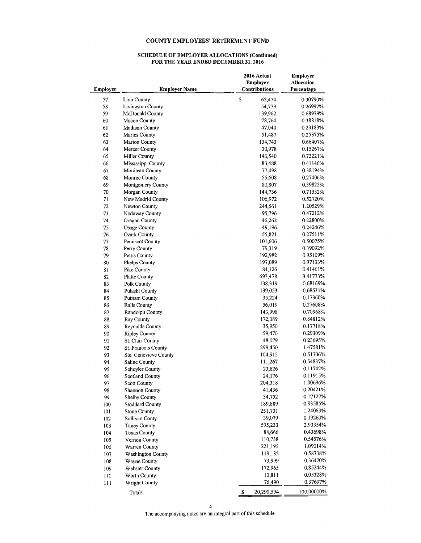#### **SCHEDULE OF EMPLOYER ALLOCATIONS (Continued) FOR THE YEAR ENDED DECEMBER 31, 2016**

| <b>Employer</b> | <b>Employer Name</b>     | 2016 Actual<br><b>Employer</b><br><b>Contributions</b> | Employer<br><b>Allocation</b><br>Percentage |  |
|-----------------|--------------------------|--------------------------------------------------------|---------------------------------------------|--|
| 57              | Linn County              | \$<br>62,474                                           | 0.30790%                                    |  |
| 58              | <b>Livingston County</b> | 54,779                                                 | 0.26997%                                    |  |
| 59              | McDonald County          | 139,962                                                | 0.68979%                                    |  |
| 60              | Macon County             | 78,764                                                 | 0.38818%                                    |  |
| 61              | Madison County           | 47,040                                                 | 0.23183%                                    |  |
| 62              | <b>Maries County</b>     | 51,487                                                 | 0.25375%                                    |  |
| 63              | <b>Marion County</b>     | 134,743                                                | 0.66407%                                    |  |
| 64              | Mercer County            | 30,978                                                 | 0.15267%                                    |  |
| 65              | Miller County            | 146,540                                                | 0.72221%                                    |  |
| 66              | Mississippi County       | 83,488                                                 | 0.41146%                                    |  |
| 67              | Moniteau County          | 77,498                                                 | 0.38194%                                    |  |
| 68              | Monroe County            | 55,608                                                 | 0.27406%                                    |  |
| 69              | Montgomery County        | 80,807                                                 | 0.39825%                                    |  |
| 70              | Morgan County            | 144,736                                                | 0.71332%                                    |  |
| 71              | New Madrid County        | 106,972                                                | 0.52720%                                    |  |
| 72              | Newton County            | 244,561                                                | 1.20529%                                    |  |
| 73              | Nodaway County           | 95,796                                                 | 0.47212%                                    |  |
| 74              | Oregon County            | 46,262                                                 | 0.22800%                                    |  |
| 75              | Osage County             | 49,196                                                 | 0.24246%                                    |  |
| 76              | <b>Ozark County</b>      | 55,821                                                 | 0.27511%                                    |  |
| 77              | Pemiscot County          | 101,606                                                | 0.50075%                                    |  |
| 78              | Perry County             | 79,319                                                 | 0.39092%                                    |  |
| 79              | Pettis County            | 192,982                                                | 0.95109%                                    |  |
| 80              | Phelps County            | 197,089                                                | 0.97133%                                    |  |
| 81              | Pike County              | 84,126                                                 | 0.41461%                                    |  |
| 82              | Platte County            | 693,478                                                | 3.41773%                                    |  |
| 83              | Polk County              | 138,319                                                | 0.68169%                                    |  |
| 84              | Pulaski County           | 139,053                                                | 0.68531%                                    |  |
| 85              | Putnam County            | 35,224                                                 | 0.17360%                                    |  |
| 86              | Ralls County             | 56,019                                                 | 0.27608%                                    |  |
| 87              | Randolph County          | 143,998                                                | 0.70968%                                    |  |
| 88              | Ray County               | 172,089                                                | 0.84812%                                    |  |
| 89              | <b>Reynolds County</b>   | 35,950                                                 | 0.17718%                                    |  |
| 90              | <b>Ripley County</b>     | 59,470                                                 | 0.29309%                                    |  |
| 91              | St. Clair County         | 48,079                                                 | 0.23695%                                    |  |
| 92              | St. Francois County      | 299,450                                                | 1.47581%                                    |  |
| 93              | Ste, Genevieve County    | 104,915                                                | 0.51706%                                    |  |
| 94              | Saline County            | 111,267                                                | 0.54837%                                    |  |
| 95              | Schuyler County          | 23,826                                                 | 0.11742%                                    |  |
| 96              | <b>Scotland County</b>   | 24,176                                                 | 0.11915%                                    |  |
| 97              | Scott County             | 204,318                                                | 1.00696%                                    |  |
| 98              | <b>Shannon County</b>    | 41,436                                                 | 0.20421%                                    |  |
| 99              | Shelby County            | 34,752                                                 | 0.17127%                                    |  |
| 100             | <b>Stoddard County</b>   | 189,889                                                | 0.93585%                                    |  |
| 101             | <b>Stone County</b>      | 251,731                                                | 1.24063%                                    |  |
| 102             | <b>Sullivan Conty</b>    | 39,079                                                 | 0.19260%                                    |  |
| 103             | Taney County             | 595,233                                                | 2.93354%                                    |  |
|                 | <b>Texas County</b>      | 88,666                                                 | 0.43698%                                    |  |
| 104<br>105      | Vernon County            | 110,738                                                | 0.54576%                                    |  |
| 106             | Warren County            | 221,195                                                | 1.09014%                                    |  |
|                 | <b>Washington County</b> | 119,182                                                | 0.58738%                                    |  |
| 107             |                          | 73,999                                                 | 0.36470%                                    |  |
| 108             | Wayne County             | 172,965                                                | 0.85244%                                    |  |
| 109             | <b>Webster County</b>    | 10,811                                                 | 0.05328%                                    |  |
| 110             | Worth County             |                                                        |                                             |  |
| 111             | <b>Wright County</b>     | 76,490                                                 | 0.37697%                                    |  |
|                 | Totals                   | \$<br>20,290,594                                       | 100.00000%                                  |  |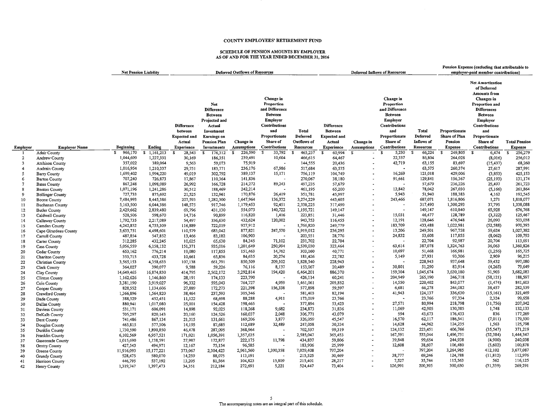#### SCHEDULE OF PENSION AMOUNTS BY EMPLOYER AS OF AND FOR THE YEAR ENDED DECEMBER 31, 2016

|                     |                                     | <b>Net Pension Liability</b> |                      |                                   |                                                                                            | <b>Deferred Outflows of Resources</b>                    |                                                                                          |                    |                                   |                                               | <b>Deferred Inflows of Resources</b>                                                            |                       |                                | Pension Expense (excluding that attributable to<br>employer-paid member contributions)                                                                             |                      |
|---------------------|-------------------------------------|------------------------------|----------------------|-----------------------------------|--------------------------------------------------------------------------------------------|----------------------------------------------------------|------------------------------------------------------------------------------------------|--------------------|-----------------------------------|-----------------------------------------------|-------------------------------------------------------------------------------------------------|-----------------------|--------------------------------|--------------------------------------------------------------------------------------------------------------------------------------------------------------------|----------------------|
|                     |                                     |                              |                      | <b>Difference</b><br>between      | Net<br><b>Difference</b><br><b>Between</b><br>Projected and<br>Actual<br><b>Investment</b> |                                                          | Change in<br>Proportion<br>and Difference<br>Between<br>Employer<br>Contributions<br>and | <b>Total</b>       | <b>Difference</b><br>Between      |                                               | Change in<br>Proportion<br>and Difference<br>Between<br>Employer<br><b>Contributions</b><br>and | Total                 | Proportionate                  | Net Amortization<br>of Deferred<br>Amounts from<br>Changes in<br>Proportion and<br><b>Differences</b><br><b>Between</b><br>Employer<br><b>Contributions</b><br>and |                      |
|                     |                                     |                              |                      | <b>Expected and</b>               | Earnings on                                                                                |                                                          | Proportionate                                                                            | Deferred           | <b>Expected and</b>               |                                               | Proportionate                                                                                   | Deferred              | Share of Plan                  | Proportionate                                                                                                                                                      |                      |
|                     |                                     |                              |                      | Actual                            | Pension Plan                                                                               | Change in                                                | Share of                                                                                 | Outflows of        | Actual                            | Change in                                     | Share of                                                                                        | Inflows of            | Pension                        | Share of                                                                                                                                                           | <b>Total Pension</b> |
| Employer            | <b>Employer Name</b>                | Beginning<br>966,170<br>£    | Ending<br>s.         | <b>Experience</b>                 | <b>Investments</b>                                                                         | <b>Assumptions</b><br>226,590<br>$\overline{\mathbf{s}}$ | Contributions<br>33,792<br>$\mathbf{s}$                                                  | Resources          | <b>Experience</b>                 | <b>Assumptions</b><br>$\overline{\mathbf{s}}$ | Contributions<br>$\overline{\mathbf{s}}$                                                        | Resources<br><b>S</b> | <b>Expense</b><br>$\mathbf{s}$ | Contributions<br>$\mathbf{S}$                                                                                                                                      | <b>Expense</b>       |
|                     | Adair County                        |                              | 1,161,213            | $\overline{\mathbf{s}}$<br>28,543 | $\overline{\mathbf{s}}$<br>176,312                                                         |                                                          |                                                                                          | 465,237<br>s.      | $\overline{\mathbf{s}}$<br>60,994 |                                               | 5,230                                                                                           | 66,224<br>86,804      | 249,805                        | 6,474                                                                                                                                                              | 256,279<br>-S        |
| $\overline{2}$<br>3 | Andrew County                       | 1,044,699<br>357,022         | 1,227,331<br>389,064 | 30,169                            | 186,351                                                                                    | 239,491<br>75,919                                        | 10,604                                                                                   | 466,615<br>144,555 | 64,467                            |                                               | 22,337<br>42,719                                                                                | 63,155                | 264,028<br>83,697              | (8,016)                                                                                                                                                            | 256,012<br>68,260    |
| $\overline{4}$      | <b>Atchison County</b>              | 1,016,954                    | 1,210,337            | 9,563<br>29,751                   | 59,073<br>183,771                                                                          | 236,176                                                  | 67,986                                                                                   | 517,684            | 20,436<br>63,575                  |                                               |                                                                                                 | 63,575                | 260,374                        | (15, 437)<br>27,617                                                                                                                                                | 287,991              |
| 5                   | Audrain County<br>Barry County      | 1,699,402                    | 1,994,220            | 49,019                            | 302,792                                                                                    | 389,137                                                  | 15,171                                                                                   | 756,119            | 104,749                           |                                               | 16,269                                                                                          | 121,018               | 429,006                        | (3,853)                                                                                                                                                            | 425,153              |
| 6                   | <b>Barton County</b>                | 707,240                      | 726,873              | 17,867                            | 110,364                                                                                    | 141,836                                                  |                                                                                          | 270,067            | 38,180                            |                                               | 91,661                                                                                          | 129,841               | 156,367                        | (25, 193)                                                                                                                                                          | 131,174              |
| $\overline{7}$      | <b>Bates County</b>                 | 867,248                      | 1,098,089            | 26,992                            | 166,728                                                                                    | 214,272                                                  | 89,243                                                                                   | 497,235            | 57,679                            |                                               |                                                                                                 | 57,679                | 236,226                        | 25,497                                                                                                                                                             | 261,723              |
| 8                   | <b>Benton County</b>                | 1,071,196                    | 1,241,286            | 30,512                            | 188,469                                                                                    | 242,214                                                  |                                                                                          | 461,195            | 65,200                            |                                               | 12,842                                                                                          | 78,042                | 267,030                        | (5,166)                                                                                                                                                            | 261,864              |
| $\mathbf{Q}$        | <b>Bollinger County</b>             | 727,733                      | 875,692              | 21,525                            | 132,961                                                                                    | 170,876                                                  | 26,419                                                                                   | 351,781            | 45,997                            |                                               | 5,943                                                                                           | 51,940                | 188,383                        | 4,162                                                                                                                                                              | 192,545              |
| 10                  | Boone County                        | 7,484,993                    | 8,445,386            | 207,593                           | 1,282,300                                                                                  | 1,647,964                                                | 136,372                                                                                  | 3,274,229          | 443,605                           |                                               | 243,466                                                                                         | 687,071               | 1,816,806                      | 1,271                                                                                                                                                              | 1,818,077            |
| 11                  | Buchanan County                     | 5,163,500                    | 6,044,386            | 148,575                           | 917,746                                                                                    | 1,179,453                                                | 92,451                                                                                   | 2,338,225          | 317,490                           |                                               |                                                                                                 | 317.490               | 1,300,293                      | 37,795                                                                                                                                                             | 1,338,088            |
| 12                  | <b>Butler County</b>                | 2,429,662                    | 2,839,480            | 69,796                            | 431,130                                                                                    | 554,073                                                  | 140,722                                                                                  | 1,195,721          | 149,147                           |                                               | $\overline{\phantom{a}}$                                                                        | 149,147               | 610,840                        | 65,928                                                                                                                                                             | 676,768              |
| 13                  | Caldwell County                     | 528,506                      | 598,670              | 14,716                            | 90,899                                                                                     | 116,820                                                  | 1,416                                                                                    | 223,851            | 31,446                            |                                               | 15,031                                                                                          | 46,477                | 128,789                        | (3, 322)                                                                                                                                                           | 125,467              |
| 14                  | Callaway County                     | 1,792,735                    | 2,217,089            | 54,497                            | 336,630                                                                                    | 432,624                                                  | 120,002                                                                                  | 943,753            | 116,455                           |                                               | 12,191                                                                                          | 128,646               | 476,948                        | 26,090                                                                                                                                                             | 503,038              |
| 15                  | Camden County                       | 4,242,852                    | 4,755,309            | 116,889                           | 722,019                                                                                    | 927,912                                                  |                                                                                          | 1,766,820          | 249,779                           |                                               | 183,709                                                                                         | 433,488               | 1,022,981                      | (52, 588)                                                                                                                                                          | 970,393              |
| 16                  | Cape Girardeau County               | 3,633,751                    | 4,498,601            | 110,579                           | 683,042                                                                                    | 877,821                                                  | 247,570                                                                                  | 1,919,012          | 236,295                           |                                               | 13,206                                                                                          | 249,501               | 967,758                        | 59,624                                                                                                                                                             | 1,027,382            |
| 17                  | Carroll County                      | 487,854                      | 547,852              | 13,466                            | 83,182                                                                                     | 106,903                                                  |                                                                                          | 203,551            | 28,776                            |                                               | 24,832                                                                                          | 53,608                | 117,855                        | (8,062)                                                                                                                                                            | 109,793              |
| 18                  | Carter County                       | 312,285                      | 432,245              | 10,625                            | 65,630                                                                                     | 84,345                                                   | 71,102                                                                                   | 231,702            | 22,704                            |                                               | $\overline{\phantom{a}}$                                                                        | 22,704                | 92,987                         | 20,704                                                                                                                                                             | 113,691              |
| 19                  | <b>Cass County</b>                  | 5,056,559                    | 6,158,132            | 151,371                           | 935,016                                                                                    | 1,201,649                                                | 250,994                                                                                  | 2,539,030          | 323,464                           |                                               | 63,614                                                                                          | 387,078               | 1,324,763                      | 36,063                                                                                                                                                             | 1,360,826            |
| 20                  | Cedar County                        | 653,162                      | 776,214              | 19,080                            | 117,855                                                                                    | 151,463                                                  | 14,762                                                                                   | 303,160            | 40,771                            |                                               | 10,697                                                                                          | 51,468                | 166,981                        | (1,256)                                                                                                                                                            | 165,725              |
| 21                  | Chariton County                     | 353,715                      | 433,728              | 10,661                            | 65,856                                                                                     | 84,635                                                   | 20,274                                                                                   | 181,426            | 22,782                            |                                               | 5,149                                                                                           | 27,931                | 93,306                         | 2,909                                                                                                                                                              | 96,215               |
| 22                  | Christian County                    | 3,565,153                    | 4,358,633            | 107,138                           | 661,791                                                                                    | 850,509                                                  | 209,102                                                                                  | 1,828,540          | 228,943                           |                                               | ÷                                                                                               | 228,943               | 937,648                        | 59,432                                                                                                                                                             | 997,080              |
| 23                  | Clark County                        | 364,027                      | 390,077              | 9,588                             | 59,226                                                                                     | 76,116                                                   | 8,137                                                                                    | 153,067            | 20,489                            |                                               | 30,801                                                                                          | 51,290                | 83,914                         | (4,265)                                                                                                                                                            | 79,649               |
| 24                  | Clay County                         | 14,649,465                   | 16,874,830           | 414,795                           | 2,562,172                                                                                  | 3,292,814                                                | 194,420                                                                                  | 6,464,201          | 886,370                           |                                               | 159,304                                                                                         | 1,045,674             | 3,630,180                      | 51,903                                                                                                                                                             | 3,682,083            |
| 25                  | Clinton County                      | 1,162,626                    | 1,146,860            | 28,191                            | 174,133                                                                                    | 223,790                                                  |                                                                                          | 426,114            | 60,241                            |                                               | 204,949                                                                                         | 265,190               | 246,718                        | (58, 121)                                                                                                                                                          | 188,597              |
| 26                  | Cole County                         | 3,381,190                    | 3,919,027            | 96,332                            | 595,043                                                                                    | 764,727                                                  | 4,959                                                                                    | 1,461,061          | 205,852                           |                                               | 14,550                                                                                          | 220,402               | 843,077                        | (1, 474)                                                                                                                                                           | 841,603              |
| 27                  | Cooper County                       | 828,552                      | 1,134,606            | 27,889                            | 172,273                                                                                    | 221,398                                                  | 156,338                                                                                  | 577,898            | 59,597                            |                                               | 6,681                                                                                           | 66,278                | 244,082                        | 38,457                                                                                                                                                             | 282,539              |
| 28                  | Crawford County                     | 1,366,896                    | 1,564,820            | 38,464                            | 237,593                                                                                    | 305,346                                                  |                                                                                          | 581,403            | 82,194                            |                                               | 41,943                                                                                          | 124,137               | 336,630<br>97,334              | (15, 161)<br>2,324                                                                                                                                                 | 321,469<br>99,658    |
| 29                  | Dade County                         | 388,529                      | 452,451              | 11,122                            | 68,698                                                                                     | 88,288                                                   | 4,911                                                                                    | 173,019            | 23,766                            |                                               | 27,571                                                                                          | 23,766<br>80,994      | 218,798                        |                                                                                                                                                                    | 207,042              |
| 30                  | Dallas County                       | 880,941                      | 1,017,080            | 25,001                            | 154,428                                                                                    | 198,465                                                  | 9,682                                                                                    | 377,894            | 53,423                            |                                               | 11,069                                                                                          | 42,905                | 130,385                        | (11, 756)<br>1,748                                                                                                                                                 | 132,133              |
| 31                  | Daviess County                      | 531,171                      | 606,091              | 14,898                            | 92,025                                                                                     | 118,268<br>160,037                                       | 2,048                                                                                    | 234,873<br>306,771 | 31,836<br>43,079                  |                                               | 594                                                                                             | 43,673                | 176,433                        | 836                                                                                                                                                                | 177,269              |
| 32                  | DeKalb County                       | 705,297<br>741,486           | 820,143<br>867,134   | 20,160<br>21,315                  | 124,526<br>131,661                                                                         | 169,206                                                  | 3,877                                                                                    | 326,059            | 45,547                            |                                               | 16,570                                                                                          | 62,117                | 186,541                        | (7,011)                                                                                                                                                            | 179,530              |
| 33                  | Dent County                         | 465,815                      | 577,506              | 14,195                            | 87,685                                                                                     | 112,689                                                  | 32,489                                                                                   | 247,058            | 30,334                            |                                               | 14,628                                                                                          | 44,962                | 124,235                        | 1,563                                                                                                                                                              | 125,798              |
| 34                  | Douglas County                      | 1,730,590                    | 1,890,850            | 46,478                            | 287,095                                                                                    | 368,964                                                  |                                                                                          | 702,537            | 99,319                            |                                               | 124,132                                                                                         | 223,451               | 406,766                        | (35, 547)                                                                                                                                                          | 371,219              |
| 35                  | Dunklin County                      | 6,102,569                    | 6,957,521            | 171,021                           | 1,056,391                                                                                  | 1,357,635                                                |                                                                                          | 2,585,047          | 365,453                           |                                               | 167,591                                                                                         | 533,044               | 1,496,731                      | (52, 384)                                                                                                                                                          | 1,444,347            |
| 36<br>37            | Franklin County<br>Gasconade County | 1,015,690                    | 1,138,591            | 27,987                            | 172,877                                                                                    | 222,175                                                  | 11,798                                                                                   | 434,837            | 59,806                            |                                               | 39,848                                                                                          | 99,654                | 244,938                        | (4,900)                                                                                                                                                            | 240,038              |
| 38                  | Gentry County                       | 427,543                      | 494,971              | 12,167                            | 75,154                                                                                     | 96,585                                                   |                                                                                          | 183,906            | 25,999                            |                                               | 12,608                                                                                          | 38,607                | 106,480                        | (5,602)                                                                                                                                                            | 100,878              |
| 39                  | Greene County                       | 11,916,093                   | 15,177,221           | 373,067                           | 2,304,423                                                                                  | 2,961,560                                                | 1,390,358                                                                                | 7,029,408          | 797,204                           |                                               |                                                                                                 | 797,204               | 3,264,985                      | 412,102                                                                                                                                                            | 3,677,087            |
| 40                  | <b>Grundy County</b>                | 528,475                      | 580,070              | 14,259                            | 88,075                                                                                     | 113,191                                                  |                                                                                          | 215,525            | 30,469                            |                                               | 38,777                                                                                          | 69,246                | 124,788                        | (11, 812)                                                                                                                                                          | 112,976              |
| 41                  | Harrison County                     | 446,795                      | 537,192              | 13,205                            | 81,564                                                                                     | 104,823                                                  | 15,809                                                                                   | 215,401            | 28,217                            |                                               | 7,527                                                                                           | 35,744                | 115,563                        | 562                                                                                                                                                                | 116,125              |
| 42                  | Henry County                        | 1,319,747                    | 1,397,473            | 34,351                            | 212,184                                                                                    | 272,691                                                  | 5,221                                                                                    | 524,447            | 73,404                            |                                               | 126,991                                                                                         | 200,395               | 300,630                        | (31, 339)                                                                                                                                                          | 269,291              |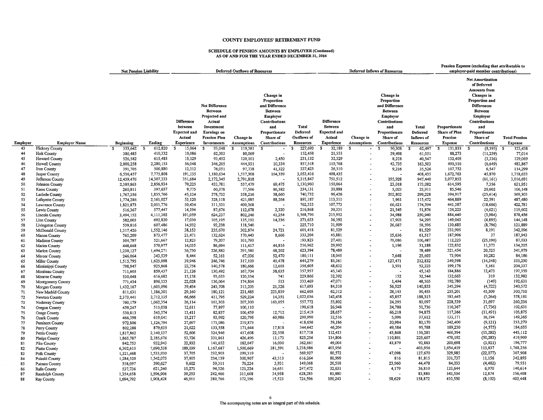## SCHEDULE OF PENSION AMOUNTS BY EMPLOYER (Continued) AS OF AND FOR THE YEAR ENDED DECEMBER 31, 2016

|          |                                    |                      | <b>Net Pension Liability</b> | <b>Deferred Outflows of Resources</b>                                              |                                                                                                                                       |                                 |                                                                                                                                                             |                                                             | <b>Deferred Inflows of Resources</b>                                               |                                       |                                                                                                                                               |                                                                   | Pension Expense (excluding that attributable to<br>employer-paid member contributions) |                                                                                                                                                                                                                  |                                        |
|----------|------------------------------------|----------------------|------------------------------|------------------------------------------------------------------------------------|---------------------------------------------------------------------------------------------------------------------------------------|---------------------------------|-------------------------------------------------------------------------------------------------------------------------------------------------------------|-------------------------------------------------------------|------------------------------------------------------------------------------------|---------------------------------------|-----------------------------------------------------------------------------------------------------------------------------------------------|-------------------------------------------------------------------|----------------------------------------------------------------------------------------|------------------------------------------------------------------------------------------------------------------------------------------------------------------------------------------------------------------|----------------------------------------|
| Employer | <b>Employer Name</b>               | <b>Beginning</b>     | Ending                       | <b>Difference</b><br>between<br><b>Expected and</b><br>Actual<br><b>Experience</b> | <b>Net Difference</b><br><b>Between</b><br>Projected and<br>Actual<br>Investment<br>Earnings on<br><b>Pension Plan</b><br>Investments | Change in<br><b>Assumptions</b> | Change in<br>Proportion<br>and Difference<br><b>Between</b><br><b>Employer</b><br>Contributions<br>and<br>Proportionate<br>Share of<br><b>Contributions</b> | Total<br><b>Deferred</b><br>Outflows of<br><b>Resources</b> | <b>Difference</b><br>Between<br><b>Expected and</b><br>Actual<br><b>Experience</b> | Change in<br>Assumptions              | Change in<br>Proportion<br>and Difference<br>Between<br>Employer<br>Contributions<br>and<br>Proportionate<br>Share of<br><b>Contributions</b> | <b>Total</b><br>Deferred<br><b>Inflows</b> of<br><b>Resources</b> | Proportionate<br>Share of Plan<br>Pension<br><b>Expense</b>                            | <b>Net Amortization</b><br>of Deferred<br>Amounts from<br><b>Changes</b> in<br>Proportion and<br>Differences<br><b>Between</b><br>Employer<br>Contributions<br>and<br>Proportionate<br>Share of<br>Contributions | <b>Total Pension</b><br><b>Expense</b> |
| 43       | <b>Hickory County</b>              | 553,642<br>S         | 612,820<br>- \$              | 15,064<br>£.                                                                       | s.<br>93,048                                                                                                                          | \$<br>119,581                   | S.<br>$\overline{\phantom{a}}$                                                                                                                              | 227,693<br>£.                                               | 32,189<br>S                                                                        | $\mathbf{s}$<br>$\tilde{\phantom{a}}$ | s<br>30,308                                                                                                                                   | \$<br>62,497                                                      | 131,833<br>- \$                                                                        | s<br>(8, 395)                                                                                                                                                                                                    | 123,438<br>- 35                        |
| 44       | <b>Holt County</b>                 | 386,485              | 410,332                      | 10,086                                                                             | 62,303                                                                                                                                | 80,069                          |                                                                                                                                                             | 152,458                                                     | 21,553                                                                             |                                       | 39,498                                                                                                                                        | 61,051                                                            | 88,273                                                                                 | (11, 259)                                                                                                                                                                                                        | 77,014                                 |
| 45       | Howard County                      | 526,582              | 615,485                      | 15,129                                                                             | 93,452                                                                                                                                | 120,101                         | 2,450                                                                                                                                                       | 231,132                                                     | 32,329                                                                             |                                       | 8,218                                                                                                                                         | 40,547                                                            | 132,405                                                                                | (3,336)                                                                                                                                                                                                          | 129,069                                |
| 46       | <b>Howell County</b>               | 2,000,258            | 2,280,153                    | 56,048                                                                             | 346,205                                                                                                                               | 444,931                         | 10,334                                                                                                                                                      | 857,518                                                     | 119,768                                                                            |                                       | 43,735                                                                                                                                        | 163,503                                                           | 490,516                                                                                | (6, 649)                                                                                                                                                                                                         | 483,867                                |
| 47       | Iron County                        | 391,705              | 500,880                      | 12,312                                                                             | 76,051                                                                                                                                | 97,738                          | 41,322                                                                                                                                                      | 227,423                                                     | 26,310                                                                             |                                       | 9,216                                                                                                                                         | 35,526                                                            | 107,752                                                                                | 6,547                                                                                                                                                                                                            | 114,299                                |
| 48       | Jasper County                      | 6,536,457            | 7,775,808                    | 191,135                                                                            | 1,180,634                                                                                                                             | 1,517,308                       | 164,339                                                                                                                                                     | 3,053,416                                                   | 408,435                                                                            |                                       |                                                                                                                                               | 408,435                                                           | 1,672,763                                                                              | 45,870                                                                                                                                                                                                           | 1,718,633                              |
| 49       | Jefferson County                   | 12,439,476           | 14,307,333                   | 351,684                                                                            | 2,172,345                                                                                                                             | 2,791,818                       |                                                                                                                                                             | 5,315,847                                                   | 751,512                                                                            |                                       | 195,928                                                                                                                                       | 947,440                                                           | 3,077,852                                                                              | (61, 161)                                                                                                                                                                                                        | 3,016,691                              |
| 50       | Johnson County                     | 2,389,863            | 2,856,934                    | 70,225                                                                             | 433,781                                                                                                                               | 557,479                         | 69,475                                                                                                                                                      | 1,130,960                                                   | 150,064                                                                            |                                       | 23,018                                                                                                                                        | 173,082                                                           | 614,595                                                                                | 7,356                                                                                                                                                                                                            | 621,951                                |
| 51       | Knox County                        | 260,811              | 397,657                      | 9,775                                                                              | 60,378                                                                                                                                | 77,596                          | 86,382                                                                                                                                                      | 234,131                                                     | 20,888                                                                             |                                       | 5,023                                                                                                                                         | 25,911                                                            | 85,546                                                                                 | 20,602                                                                                                                                                                                                           | 106,148                                |
| 52       | Laclede County                     | 1,767,356            | 1,835,766                    | 45,124                                                                             | 278,732                                                                                                                               | 358,216                         | 58,660                                                                                                                                                      | 740,732                                                     | 96,426                                                                             |                                       | 202,802                                                                                                                                       | 299,228                                                           | 394,917                                                                                | (25, 614)                                                                                                                                                                                                        | 369,303                                |
| 53<br>54 | Lafayette County                   | 1,774,286            | 2,161,027<br>2,051,776       | 53,120<br>50,434                                                                   | 328,118<br>311,531                                                                                                                    | 421,685<br>400,368              | 88,264                                                                                                                                                      | 891,187<br>762,333                                          | 113,511<br>107,773                                                                 |                                       | 1,961<br>66,621                                                                                                                               | 115,472<br>174,394                                                | 464,889<br>441,387                                                                     | 22,591<br>(18, 606)                                                                                                                                                                                              | 487,480<br>422,781                     |
| 55       | Lawrence County<br>Lewis County    | 1,821,873<br>516,367 | 577,447                      | 14,194                                                                             | 87,676                                                                                                                                | 112,678                         | 2,320                                                                                                                                                       | 216,868                                                     | 30,331                                                                             |                                       | 21,545                                                                                                                                        | 51,876                                                            | 124,223                                                                                | (4,621)                                                                                                                                                                                                          | 119,602                                |
| 56       | <b>Lincoln County</b>              | 3,494,152            | 4,111,302                    | 101.059                                                                            | 624,237                                                                                                                               | 802,246                         | 41,254                                                                                                                                                      | 1,568,796                                                   | 215,952                                                                            |                                       | 34,988                                                                                                                                        | 250,940                                                           | 884,440                                                                                | (5,984)                                                                                                                                                                                                          | 878,456                                |
| 57       | Linn County                        | 582,003              | 692,820                      | 17,030                                                                             | 105,195                                                                                                                               | 135,192                         | 14,236                                                                                                                                                      | 271,653                                                     | 36,392                                                                             |                                       | 17,903                                                                                                                                        | 54,295                                                            | 149,043                                                                                | (4, 895)                                                                                                                                                                                                         | 144,148                                |
| 58       | Livingston County                  | 539,816              | 607,486                      | 14,932                                                                             | 92,238                                                                                                                                | 118,540                         |                                                                                                                                                             | 225,710                                                     | 31,909                                                                             |                                       | 26,687                                                                                                                                        | 58,596                                                            | 130,685                                                                                | (8,796)                                                                                                                                                                                                          | 121,889                                |
| 59       | McDonald County                    | 1,317,426            | 1,552,146                    | 38,153                                                                             | 235,670                                                                                                                               | 302,874                         | 24,721                                                                                                                                                      | 601,418                                                     | 81,529                                                                             |                                       |                                                                                                                                               | 81,529                                                            | 333,905                                                                                | 8,191                                                                                                                                                                                                            | 342,096                                |
| 60       | Macon County                       | 765,209              | 873,477                      | 21,471                                                                             | 132,624                                                                                                                               | 170,443                         | 8,666                                                                                                                                                       | 333,204                                                     | 45,881                                                                             |                                       | 15,636                                                                                                                                        | 61,517                                                            | 187,906                                                                                | 37                                                                                                                                                                                                               | 187,943                                |
| 61       | Madison County                     | 504,797              | 521,667                      | 12,823                                                                             | 79,207                                                                                                                                | 101,793                         |                                                                                                                                                             | 193,823                                                     | 27,401                                                                             |                                       | 79,086                                                                                                                                        | 106,487                                                           | 112,223                                                                                | (25, 190)                                                                                                                                                                                                        | 87,033                                 |
| 62       | Maries County                      | 448,668              | 570,977                      | 14,035                                                                             | 86,694                                                                                                                                | 111,417                         | 44,816                                                                                                                                                      | 256,962                                                     | 29,992                                                                             |                                       | 1,196                                                                                                                                         | 31,188                                                            | 122,832                                                                                | 11,373                                                                                                                                                                                                           | 134,205                                |
| 63       | Marion County                      | 1,230,127            | 1,494,271                    | 36,730                                                                             | 226,882                                                                                                                               | 291,580                         | 68,202                                                                                                                                                      | 623,394                                                     | 78,489                                                                             |                                       |                                                                                                                                               | 78,489                                                            | 321,454                                                                                | 20,525                                                                                                                                                                                                           | 341,979                                |
| 64       | Mercer County                      | 246,064              | 343,539                      | 8,444                                                                              | 52,161                                                                                                                                | 67,036                          | 52,470                                                                                                                                                      | 180,111                                                     | 18,045                                                                             |                                       | 7,648                                                                                                                                         | 25,693                                                            | 73,904                                                                                 | 10,282                                                                                                                                                                                                           | 84,186                                 |
| 65       | Miller County                      | 1,515,795            | 1,625,098                    | 39,946                                                                             | 246,746                                                                                                                               | 317,109                         | 40,478                                                                                                                                                      | 644,279                                                     | 85,361                                                                             |                                       | 127.471                                                                                                                                       | 212,832                                                           | 349,598                                                                                | (14, 348)                                                                                                                                                                                                        | 335,250                                |
| 66       | Mississippi County                 | 798,947              | 925,868                      | 22,758                                                                             | 140,578                                                                                                                               | 180,666                         | 12,603                                                                                                                                                      | 356,605                                                     | 48,632                                                                             |                                       | 3,591                                                                                                                                         | 52,223                                                            | 199,176                                                                                | 5,161                                                                                                                                                                                                            | 204,337                                |
| 67       | Moniteau County                    | 711,603              | 859,437                      | 21,126                                                                             | 130,492                                                                                                                               | 167,704                         | 38,635                                                                                                                                                      | 357,957                                                     | 45,143                                                                             |                                       |                                                                                                                                               | 45,143                                                            | 184,886                                                                                | 12,473                                                                                                                                                                                                           | 197,359                                |
| 68       | Monroe County                      | 530,048              | 616,682                      | 15,158                                                                             | 93,633                                                                                                                                | 120,334                         | 741                                                                                                                                                         | 229,866                                                     | 32,392                                                                             |                                       | 152                                                                                                                                           | 32,544                                                            | 132,663                                                                                | 319                                                                                                                                                                                                              | 132,982                                |
| 69       | Montgomery County                  | 771,434              | 896,133                      | 22,028                                                                             | 136,064                                                                                                                               | 174,864                         | 513                                                                                                                                                         | 333,469                                                     | 47,071<br>84,310                                                                   |                                       | 1,494                                                                                                                                         | 48,565                                                            | 192,780<br>345,294                                                                     | (149)                                                                                                                                                                                                            | 192,631<br>340,572                     |
| 70       | Morgan County                      | 1,432,167            | 1,605,096<br>1,186,301       | 39,454<br>29,160                                                                   | 243,708<br>180,121                                                                                                                    | 313,205<br>231,485              | 21,326<br>221,839                                                                                                                                           | 617,693<br>662,605                                          | 62,312                                                                             |                                       | 56,525<br>28,143                                                                                                                              | 140,835<br>90,455                                                 | 255,201                                                                                | (4, 722)<br>45,509                                                                                                                                                                                               | 300,710                                |
| 71<br>72 | New Madrid County<br>Newton County | 811,631<br>2,373,441 | 2,712,135                    | 66,666                                                                             | 411,795                                                                                                                               | 529,224                         | 14,351                                                                                                                                                      | 1,022,036                                                   | 142,458                                                                            |                                       | 45,857                                                                                                                                        | 188,315                                                           | 583,445                                                                                | (5,264)                                                                                                                                                                                                          | 578,181                                |
| 73       | Nodaway County                     | 760,179              | 1,062,354                    | 26,114                                                                             | 161,303                                                                                                                               | 207,300                         | 163,055                                                                                                                                                     | 557,772                                                     | 55,802                                                                             |                                       | 24,295                                                                                                                                        | 80,097                                                            | 228,539                                                                                | 31,697                                                                                                                                                                                                           | 260,236                                |
| 74       | Oregon County                      | 459,247              | 513,038                      | 12,611                                                                             | 77,897                                                                                                                                | 100,110                         |                                                                                                                                                             | 190,618                                                     | 26,948                                                                             |                                       | 24,788                                                                                                                                        | 51,736                                                            | 110,367                                                                                | (7, 736)                                                                                                                                                                                                         | 102,631                                |
| 75       | Osage County                       | 530,813              | 545,574                      | 13,411                                                                             | 82,837                                                                                                                                | 106,459                         | 12,712                                                                                                                                                      | 215,419                                                     | 28,657                                                                             |                                       | 66,218                                                                                                                                        | 94,875                                                            | 117,366                                                                                | (11, 491)                                                                                                                                                                                                        | 105,875                                |
| 76       | <b>Ozark County</b>                | 466,398              | 619,041                      | 15,217                                                                             | 93,992                                                                                                                                | 120,795                         | 69,986                                                                                                                                                      | 299,990                                                     | 32,516                                                                             |                                       | 5,096                                                                                                                                         | 37,612                                                            | 133,171                                                                                | 16,194                                                                                                                                                                                                           | 149,365                                |
| 77       | Pemiscot County                    | 972,806              | 1,126,794                    | 27,697                                                                             | 171,086                                                                                                                               | 219,873                         |                                                                                                                                                             | 418,656                                                     | 59,186                                                                             |                                       | 20,984                                                                                                                                        | 80,170                                                            | 242,400                                                                                | (9, 121)                                                                                                                                                                                                         | 233,279                                |
| 78       | Perry County                       | 802,288              | 879,635                      | 21,622                                                                             | 133,558                                                                                                                               | 171,644                         | 17,818                                                                                                                                                      | 344,642                                                     | 46,204                                                                             |                                       | 49,584                                                                                                                                        | 95,788                                                            | 189,230                                                                                | (4, 575)                                                                                                                                                                                                         | 184,655                                |
| 79       | Pettis County                      | 1,817,862            | 2,140,137                    | 52,606                                                                             | 324,946                                                                                                                               | 417,608                         | 22,558                                                                                                                                                      | 817,718                                                     | 112,413                                                                            |                                       | 43,868                                                                                                                                        | 156,281                                                           | 460,394                                                                                | (15, 282)                                                                                                                                                                                                        | 445,112                                |
| 80       | Phelps County                      | 1,865,787            | 2,185,676                    | 53,726                                                                             | 331,861                                                                                                                               | 426,496                         | 13,173                                                                                                                                                      | 825,256                                                     | 114,806                                                                            |                                       | 110,801                                                                                                                                       | 225,607                                                           | 470,192                                                                                | (50, 283)                                                                                                                                                                                                        | 419,909                                |
| 81       | Pike County                        | 842,753              | 932,943                      | 22,932                                                                             | 141,652                                                                                                                               | 182,047                         | 16,030                                                                                                                                                      | 362,661                                                     | 49,004                                                                             |                                       | 43,879                                                                                                                                        | 92,883                                                            | 200,698                                                                                | (3,921)                                                                                                                                                                                                          | 196,777                                |
| 82       | <b>Platte County</b>               | 6,302,613            | 7,690,538                    | 189,039                                                                            | 1,167,687                                                                                                                             | 1,500,669                       | 381,591                                                                                                                                                     | 3,238,986                                                   | 403,956                                                                            |                                       |                                                                                                                                               | 403,956                                                           | 1,654,419                                                                              | 113,837                                                                                                                                                                                                          | 1,768,256                              |
| 83       | Polk County                        | 1,321,468            | 1,533,930                    | 37,705                                                                             | 232,903                                                                                                                               | 299,319                         |                                                                                                                                                             | 569,927                                                     | 80,572                                                                             |                                       | 47,098                                                                                                                                        | 127,670                                                           | 329,985                                                                                | (22, 077)                                                                                                                                                                                                        | 307,908                                |
| 84       | Pulaski County                     | 1,284,520            | 1,542,073                    | 37,905                                                                             | 234,139                                                                                                                               | 300,907                         | 43,313                                                                                                                                                      | 616,264                                                     | 80,999                                                                             |                                       | 816                                                                                                                                           | 81,815                                                            | 331,737                                                                                | 11,156                                                                                                                                                                                                           | 342,893                                |
| 85       | Putnam County                      | 358,097              | 390,627                      | 9,602                                                                              | 59,311                                                                                                                                | 76,224                          | 3,931                                                                                                                                                       | 149,068                                                     | 20,518                                                                             |                                       | 23,960                                                                                                                                        | 44,478                                                            | 84,033                                                                                 | (4, 482)                                                                                                                                                                                                         | 79,551                                 |
| 86       | Ralls County                       | 537,736              | 621,240                      | 15,271                                                                             | 94,326                                                                                                                                | 121,224                         | 16,651                                                                                                                                                      | 247,472                                                     | 32,631                                                                             |                                       | 4,179                                                                                                                                         | 36,810                                                            | 133,644                                                                                | 6,970                                                                                                                                                                                                            | 140,614                                |
| 87<br>88 | Randolph County                    | 1,354,658            | 1,596,906<br>1,908,428       | 39,253<br>46.911                                                                   | 242,466<br>289.766                                                                                                                    | 311,608<br>372,396              | 34,958<br>15.523                                                                                                                                            | 628,285<br>724,596                                          | 83,880<br>100,243                                                                  |                                       | 58,629                                                                                                                                        | 83,880<br>158.872                                                 | 343,534<br>410,550                                                                     | 12,874<br>(8, 102)                                                                                                                                                                                               | 356,408<br>402,448                     |
|          | Ray County                         | 1,694,792            |                              |                                                                                    |                                                                                                                                       |                                 |                                                                                                                                                             |                                                             |                                                                                    |                                       |                                                                                                                                               |                                                                   |                                                                                        |                                                                                                                                                                                                                  |                                        |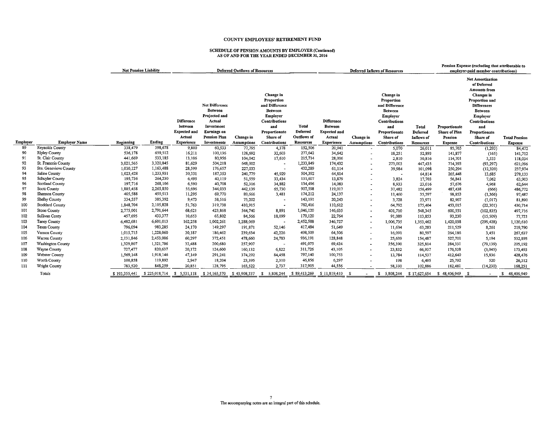# SCHEDULE OF PENSION AMOUNTS BY EMPLOYER (Continued) AS OF AND FOR THE YEAR ENDED DECEMBER 31, 2016

|          |                                    | <b>Net Pension Liability</b><br><b>Deferred Outflows of Resources</b> |                      |                                                               |                                                                                                                        |                    |                                                                                                                              | <b>Deferred Inflows of Resources</b>    |                                                               |                          |                                                                                                                              | Pension Expense (excluding that attributable to<br>employer-paid member contributions) |                                                  |                                                                                                                                                                                                 |                      |
|----------|------------------------------------|-----------------------------------------------------------------------|----------------------|---------------------------------------------------------------|------------------------------------------------------------------------------------------------------------------------|--------------------|------------------------------------------------------------------------------------------------------------------------------|-----------------------------------------|---------------------------------------------------------------|--------------------------|------------------------------------------------------------------------------------------------------------------------------|----------------------------------------------------------------------------------------|--------------------------------------------------|-------------------------------------------------------------------------------------------------------------------------------------------------------------------------------------------------|----------------------|
|          |                                    |                                                                       |                      | <b>Difference</b><br>between<br><b>Expected and</b><br>Actual | Net Difference<br><b>Between</b><br>Projected and<br>Actual<br>Investment<br><b>Earnings</b> on<br><b>Pension Plan</b> | Change in          | Change in<br>Proportion<br>and Difference<br><b>Between</b><br>Employer<br>Contributions<br>and<br>Proportionate<br>Share of | Total<br>Deferred<br><b>Outflows</b> of | <b>Difference</b><br>Between<br><b>Expected and</b><br>Actual | Change in                | Change in<br>Proportion<br>and Difference<br><b>Between</b><br>Employer<br>Contributions<br>and<br>Proportionate<br>Share of | Total<br>Deferred<br>Inflows of                                                        | Proportionate<br><b>Share of Plan</b><br>Pension | <b>Net Amortization</b><br>of Deferred<br>Amounts from<br>Changes in<br>Proportion and<br><b>Differences</b><br><b>Between</b><br>Employer<br>Contributions<br>and<br>Proportionate<br>Share of | <b>Total Pension</b> |
| Employer | <b>Employer Name</b>               | Beginning                                                             | Ending               | <b>Experience</b>                                             | Investments                                                                                                            | <b>Assumptions</b> | Contributions                                                                                                                | Resources                               | <b>Experience</b>                                             | <b>Assumptions</b>       | Contributions                                                                                                                | <b>Resources</b>                                                                       | <b>Expense</b>                                   | Contributions                                                                                                                                                                                   | <b>Expense</b>       |
| 89       | Reynolds County                    | 338,479                                                               | 398,678              | 9,800                                                         | 60,533                                                                                                                 | 77,795             | 4,378                                                                                                                        | 152,506                                 | 20,941                                                        |                          | 5,070                                                                                                                        | 26,011                                                                                 | 85,765                                           | (1, 293)                                                                                                                                                                                        | 84,472               |
| 90       | <b>Ripley County</b>               | 536,178                                                               | 659,512              | 16,211                                                        | 100,136                                                                                                                | 128,692            | 32,603                                                                                                                       | 277,642                                 | 34,642                                                        | $\overline{a}$           | 18,251                                                                                                                       | 52,893                                                                                 | 141,877                                          | (165)                                                                                                                                                                                           | 141,712              |
| 91       | St. Clair County                   | 441,669                                                               | 533,185              | 13,106                                                        | 80,956                                                                                                                 | 104,042            | 17,610                                                                                                                       | 215,714                                 | 28,006                                                        | $\hat{\phantom{a}}$      | 2,810                                                                                                                        | 30,816                                                                                 | 114,701                                          | 3,333                                                                                                                                                                                           | 118,034              |
| 92       | St. Francois County                | 3,021,565                                                             | 3,320,845            | 81,629                                                        | 504,218                                                                                                                | 648,002            |                                                                                                                              | 1,233,849                               | 174,432                                                       |                          | 273,003                                                                                                                      | 447,435                                                                                | 714,393                                          | (93, 297)                                                                                                                                                                                       | 621,096              |
| 93<br>94 | Ste. Genevieve County              | 1,030,127                                                             | 1,163,488            | 28,599                                                        | 176,657                                                                                                                | 227,033            |                                                                                                                              | 432,289                                 | 61,114                                                        |                          | 39,984                                                                                                                       | 101,098                                                                                | 250,294                                          | (12, 320)                                                                                                                                                                                       | 237,974              |
| 95       | Saline County                      | 1,023,428                                                             | 1,233,931<br>264,230 | 30,331                                                        | 187,353                                                                                                                | 240,779            | 45,929                                                                                                                       | 504,392                                 | 64,814                                                        |                          |                                                                                                                              | 64,814                                                                                 | 265,448                                          | 13,685                                                                                                                                                                                          | 279,133              |
| 96       | Schuyler County<br>Scotland County | 195,736                                                               | 268,106              | 6.495                                                         | 40,119                                                                                                                 | 51,559             | 33,434                                                                                                                       | 131,607                                 | 13,879                                                        | $\overline{\phantom{a}}$ | 3,824                                                                                                                        | 17,703                                                                                 | 56,841                                           | 7,062                                                                                                                                                                                           | 63,903               |
| 97       | <b>Scott County</b>                | 197,716<br>1,885,458                                                  | 2,265,850            | 6,590<br>55,696                                               | 40,708<br>344,033                                                                                                      | 52,316             | 34,882                                                                                                                       | 134,496<br>907,598                      | 14,083                                                        | $\overline{\phantom{a}}$ | 8,933                                                                                                                        | 23,016                                                                                 | 57,676                                           | 4,968                                                                                                                                                                                           | 62,644               |
| 98       | Shannon County                     | 405,588                                                               | 459,513              | 11,295                                                        | 69,770                                                                                                                 | 442,139<br>89,666  | 65,730<br>3,481                                                                                                              | 174,212                                 | 119,017<br>24,137                                             | $\blacksquare$           | 37,482                                                                                                                       | 156,499                                                                                | 487,438<br>98,853                                | (666)                                                                                                                                                                                           | 486,772              |
| 99       | Shelby County                      | 334,557                                                               | 385,392              | 9,473                                                         | 58,516                                                                                                                 |                    |                                                                                                                              | 143,191                                 |                                                               | $\blacksquare$           | 11,460                                                                                                                       | 35,597                                                                                 |                                                  | (1, 366)                                                                                                                                                                                        | 97,487               |
|          |                                    |                                                                       | 2,105,828            |                                                               |                                                                                                                        | 75,202             |                                                                                                                              |                                         | 20,243                                                        | $\ddot{\phantom{1}}$     | 3,728                                                                                                                        | 23,971                                                                                 | 82,907                                           | (1,017)                                                                                                                                                                                         | 81,890               |
| 100      | Stoddard County                    | 1,848,704                                                             |                      | 51,763                                                        | 319,738                                                                                                                | 410,915            |                                                                                                                              | 782,416                                 | 110,612                                                       | $\blacksquare$           | 64,792                                                                                                                       | 175,404                                                                                | 453,015                                          | (22, 301)                                                                                                                                                                                       | 430,714              |
| 101      | <b>Stone County</b>                | 2,775,001                                                             | 2,791,644            | 68,621                                                        | 423,868                                                                                                                | 544,740            | 8,891                                                                                                                        | 1,046,120                               | 146,635                                                       | $\blacksquare$           | 401,710                                                                                                                      | 548,345                                                                                | 600,551                                          | (102, 835)                                                                                                                                                                                      | 497,716              |
| 102      | Sullivan Conty                     | 457,695                                                               | 433,377              | 10,653                                                        | 65,802                                                                                                                 | 84,566             | 18,099                                                                                                                       | 179,120                                 | 22,764                                                        | $\blacksquare$           | 91,089                                                                                                                       | 113,853                                                                                | 93,230                                           | (15, 509)                                                                                                                                                                                       | 77,721               |
| 103      | <b>Taney County</b>                | 6,482,681                                                             | 6,601,013            | 162,258                                                       | 1,002,261                                                                                                              | 1,288,069          |                                                                                                                              | 2,452,588                               | 346,727                                                       | $\blacksquare$           | 1,006,735                                                                                                                    | 1,353,462                                                                              | 1,420,038                                        | (299, 428)                                                                                                                                                                                      | 1,120,610            |
| 104      | Texas County                       | 796,094                                                               | 983,285              | 24,170                                                        | 149,297                                                                                                                | 191,871            | 52,146                                                                                                                       | 417,484                                 | 51,649                                                        | $\blacksquare$           | 11,634                                                                                                                       | 63,283                                                                                 | 211,529                                          | 8,261                                                                                                                                                                                           | 219,790              |
| 105      | Vernon County                      | 1,015,715                                                             | 1,228,060            | 30,187                                                        | 186,462                                                                                                                | 239,634            | 42,226                                                                                                                       | 498,509                                 | 64,506                                                        | $\overline{\phantom{a}}$ | 16,091                                                                                                                       | 80,597                                                                                 | 264,186                                          | 3,451                                                                                                                                                                                           | 267,637              |
| 106      | Warren County                      | 2,131,846                                                             | 2,453,006            | 60,297                                                        | 372,451                                                                                                                | 478,660            | 24,783                                                                                                                       | 936,191                                 | 128,848                                                       | $\tilde{\phantom{a}}$    | 25,639                                                                                                                       | 154,487                                                                                | 527,701                                          | 5,194                                                                                                                                                                                           | 532,895              |
| 107      | Washington County                  | 1,329,807                                                             | 1,321,706            | 32,488                                                        | 200,680                                                                                                                | 257,907            |                                                                                                                              | 491,075                                 | 69,424                                                        | $\bullet$                | 256,390                                                                                                                      | 325,814                                                                                | 284,331                                          | (79, 139)                                                                                                                                                                                       | 205,192              |
| 108      | Wayne County                       | 727,477                                                               | 820,637              | 20,172                                                        | 124,600                                                                                                                | 160,132            | 6,822                                                                                                                        | 311,726                                 | 43,105                                                        | $\overline{a}$           | 23,832                                                                                                                       | 66,937                                                                                 | 176,538                                          | (3,045)                                                                                                                                                                                         | 173,493              |
| 109      | Webster County                     | 1,569,148                                                             | 1,918,146            | 47,149                                                        | 291,241                                                                                                                | 374,292            | 84,458                                                                                                                       | 797,140                                 | 100,753                                                       |                          | 13,784                                                                                                                       | 114,537                                                                                | 412,640                                          | 15,836                                                                                                                                                                                          | 428,476              |
| 110      | Worth County                       | 100,858                                                               | 119,892              | 2,947                                                         | 18,204                                                                                                                 | 23,395             | 2,310                                                                                                                        | 46,856                                  | 6,297                                                         |                          | 198                                                                                                                          | 6,495                                                                                  | 25,792                                           | 520                                                                                                                                                                                             | 26,312               |
| 111      | Wright County                      | 783,520                                                               | 848,259              | 20,851                                                        | 128,795                                                                                                                | 165,522            | 2,737                                                                                                                        | 317,905                                 | 44,556                                                        |                          | 58,330                                                                                                                       | 102,886                                                                                | 182,481                                          | (14, 230)                                                                                                                                                                                       | 168,251              |
|          | Totals                             | \$193,355,441                                                         | \$225,018,714        | \$5,531,118                                                   | \$34,165,570                                                                                                           | \$43,908,337       | 5,808,244<br>-SI                                                                                                             | \$89,413,269                            | \$11,819,410                                                  |                          | \$ 5,808,244                                                                                                                 | \$17,627,654                                                                           | \$48,406,949                                     | - S                                                                                                                                                                                             | 48,406,949<br>s.     |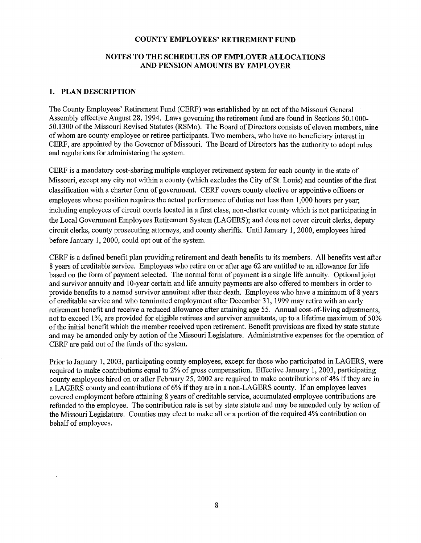## NOTES TO THE SCHEDULES OF EMPLOYER ALLOCATIONS AND PENSION AMOUNTS BY EMPLOYER

### 1. PLAN DESCRIPTION

The County Employees' Retirement Fund (CERF) was established by an act of the Missouri General Assembly effective August 28, 1994. Laws governing the retirement fund are found in Sections 50.1000- 50.1300 of the Missouri Revised Statutes (RSMo). The Board of Directors consists of eleven members, nine of whom are county employee or retiree participants. Two members, who have no beneficiary interest in CERF, are appointed by the Governor of Missouri. The Board of Directors has the authority to adopt rules and regulations for administering the system.

CERF is a mandatory cost-sharing multiple employer retirement system for each county in the state of Missouri, except any city not within a county (which excludes the City of St. Louis) and counties of the first classification with a charter form of government. CERF covers county elective or appointive officers or employees whose position requires the actual performance of duties not less than 1,000 hours per year; including employees of circuit courts located in a first class, non-charter county which is not participating in the Local Government Employees Retirement System (LAGERS); and does not cover circuit clerks, deputy circuit clerks, county prosecuting attorneys, and county sheriffs. Until January 1, 2000, employees hired before January 1, 2000, could opt out of the system.

CERF is a defined benefit plan providing retirement and death benefits to its members. All benefits vest after 8 years of creditable service. Employees who retire on or after age 62 are entitled to an allowance for life based on the form of payment selected. The normal form of payment is a single life annuity. Optional joint and survivor annuity and 10-year certain and life annuity payments are also offered to members in order to provide benefits to a named survivor annuitant after their death. Employees who have a minimum of 8 years of creditable service and who terminated employment after December 31, 1999 may retire with an early retirement benefit and receive a reduced allowance after attaining age 55. Annual cost-of-living adjustments, not to exceed 1%, are provided for eligible retirees and survivor annuitants, up to a lifetime maximum of 50% of the initial benefit which the member received upon retirement. Benefit provisions are fixed by state statute and may be amended only by action of the Missouri Legislature. Administrative expenses for the operation of CERF are paid out of the funds of the system.

Prior to January 1, 2003, participating county employees, except for those who participated in LAGERS, were required to make contributions equal to 2% of gross compensation. Effective January 1, 2003, participating county employees hired on or after February 25, 2002 are required to make contributions of 4% if they are in a LAGERS county and contributions of 6% if they are in a non-LAGERS county. If an employee leaves covered employment before attaining 8 years of creditable service, accumulated employee contributions are refunded to the employee. The contribution rate is set by state statute and may be amended only by action of the Missouri Legislature. Counties may elect to make all or a portion of the required 4% contribution on behalf of employees.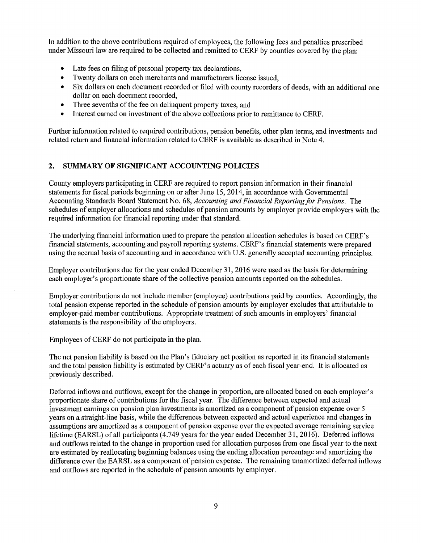In addition to the above contributions required of employees, the following fees and penalties prescribed under Missouri law are required to be collected and remitted to CERF by counties covered by the plan:

- Late fees on filing of personal property tax declarations,
- Twenty dollars on each merchants and manufacturers license issued,
- Six dollars on each document recorded or filed with county recorders of deeds, with an additional one dollar on each document recorded,
- Three sevenths of the fee on delinquent property taxes, and
- Interest earned on investment of the above collections prior to remittance to CERF.

Further information related to required contributions, pension benefits, other plan terms, and investments and related return and financial information related to CERF is available as described in Note 4.

## 2. SUMMARY OF SIGNIFICANT ACCOUNTING POLICIES

County employers participating in CERF are required to report pension information in their financial statements for fiscal periods beginning on or after June 15, 2014, in accordance with Governmental Accounting Standards Board Statement No. 68, *Accounting and Financial Reporting for Pensions.* The schedules of employer allocations and schedules of pension amounts by employer provide employers with the required information for financial reporting under that standard.

The underlying financial information used to prepare the pension allocation schedules is based on CERF's financial statements, accounting and payroll reporting systems. CERF's financial statements were prepared using the accrual basis of accounting and in accordance with U.S. generally accepted accounting principles.

Employer contributions due for the year ended December 31, 2016 were used as the basis for determining each employer's proportionate share of the collective pension amounts reported on the schedules.

Employer contributions do not include member (employee) contributions paid by counties. Accordingly, the total pension expense reported in the schedule of pension amounts by employer excludes that attributable to employer-paid member contributions. Appropriate treatment of such amounts in employers' financial statements is the responsibility of the employers.

Employees of CERF do not participate in the plan.

The net pension liability is based on the Plan's fiduciary net position as reported in its financial statements and the total pension liability is estimated by CERF's actuary as of each fiscal year-end. It is allocated as previously described.

Deferred inflows and outflows, except for the change in proportion, are allocated based on each employer's proportionate share of contributions for the fiscal year. The difference between expected and actual investment earnings on pension plan investments is amortized as a component of pension expense over 5 years on a straight-line basis, while the differences between expected and actual experience and changes in assumptions are amortized as a component of pension expense over the expected average remaining service lifetime (EARSL) of all participants (4.749 years for the year ended December 31, 2016). Deferred inflows and outflows related to the change in proportion used for allocation purposes from one fiscal year to the next are estimated by reallocating beginning balances using the ending allocation percentage and amortizing the difference over the EARSL as a component of pension expense. The remaining unamortized deferred inflows and outflows are reported in the schedule of pension amounts by employer.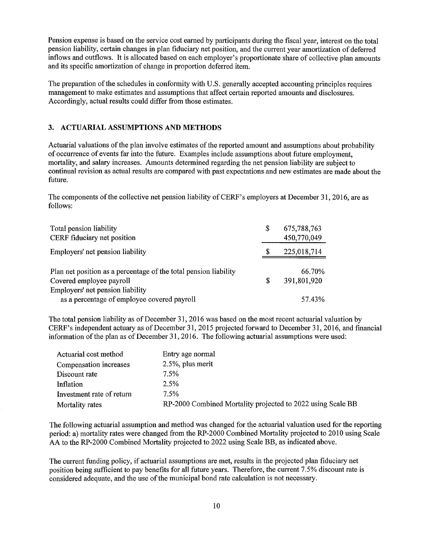Pension expense is based on the service cost earned by participants during the fiscal year, interest on the total pension liability, certain changes in plan fiduciary net position, and the current year amortization of deferred inflows and outflows. It is allocated based on each employer's proportionate share of collective plan amounts and its specific amortization of change in proportion deferred item.

The preparation of the schedules in conformity with U.S. generally accepted accounting principles requires management to make estimates and assumptions that affect certain reported amounts and disclosures. Accordingly, actual results could differ from those estimates.

## 3. ACTUARIAL ASSUMPTIONS AND METHODS

Actuarial valuations of the plan involve estimates of the reported amount and assumptions about probability of occurrence of events far into the future. Examples include assumptions about future employment, mortality, and salary increases. Amounts determined regarding the net pension liability are subject to continual revision as actual results are compared with past expectations and new estimates are made about the future.

The components of the collective net pension liability of CERF's employers at December 31, 2016, are as follows:

| Total pension liability<br>CERF fiduciary net position                                       | \$ | 675,788,763<br>450,770,049 |
|----------------------------------------------------------------------------------------------|----|----------------------------|
| Employers' net pension liability                                                             | \$ | 225,018,714                |
| Plan net position as a percentage of the total pension liability<br>Covered employee payroll | S  | 66.70%<br>391,801,920      |
| Employers' net pension liability                                                             |    |                            |
| as a percentage of employee covered payroll                                                  |    | 57.43%                     |

The total pension liability as of December 31, 2016 was based on the most recent actuarial valuation by CERF' s independent actuary as of December 31, 2015 projected forward to December 31, 2016, and financial information of the plan as of December 31, 2016. The following actuarial assumptions were used:

| Actuarial cost method     | Entry age normal                                            |
|---------------------------|-------------------------------------------------------------|
| Compensation increases    | $2.5\%$ , plus merit                                        |
| Discount rate             | 7.5%                                                        |
| Inflation                 | 2.5%                                                        |
| Investment rate of return | 7.5%                                                        |
| Mortality rates           | RP-2000 Combined Mortality projected to 2022 using Scale BB |

The following actuarial assumption and method was changed for the actuarial valuation used for the reporting period: a) mortality rates were changed from the RP-2000 Combined Mortality projected to 2010 using Scale AA to the RP-2000 Combined Mortality projected to 2022 using Scale BB, as indicated above.

The current funding policy, if actuarial assumptions are met, results in the projected plan fiduciary net position being sufficient to pay benefits for all future years. Therefore, the current 7 .5% discount rate is considered adequate, and the use of the municipal bond rate calculation is not necessary.